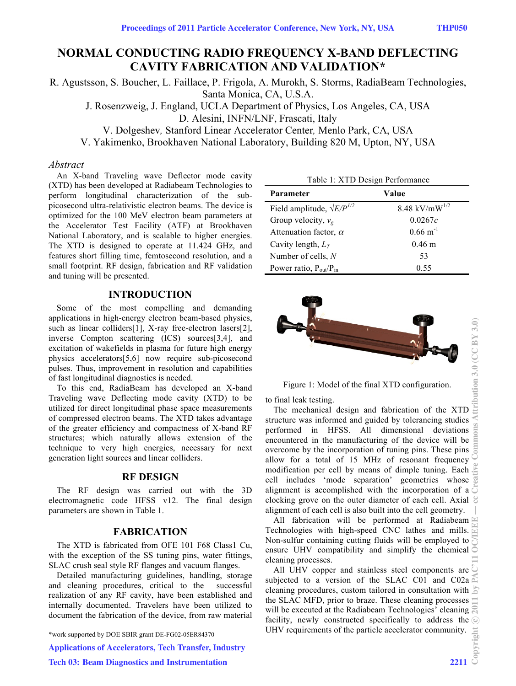# **NORMAL CONDUCTING RADIO FREQUENCY X-BAND DEFLECTING CAVITY FABRICATION AND VALIDATION\***

R. Agustsson, S. Boucher, L. Faillace, P. Frigola, A. Murokh, S. Storms, RadiaBeam Technologies, Santa Monica, CA, U.S.A.

J. Rosenzweig, J. England, UCLA Department of Physics, Los Angeles, CA, USA

D. Alesini, INFN/LNF, Frascati, Italy

V. Dolgeshev*,* Stanford Linear Accelerator Center*,* Menlo Park, CA, USA

V. Yakimenko, Brookhaven National Laboratory, Building 820 M, Upton, NY, USA

### *Abstract*

An X-band Traveling wave Deflector mode cavity (XTD) has been developed at Radiabeam Technologies to perform longitudinal characterization of the subpicosecond ultra-relativistic electron beams. The device is optimized for the 100 MeV electron beam parameters at the Accelerator Test Facility (ATF) at Brookhaven National Laboratory, and is scalable to higher energies. The XTD is designed to operate at 11.424 GHz, and features short filling time, femtosecond resolution, and a small footprint. RF design, fabrication and RF validation and tuning will be presented.

# **INTRODUCTION**

Some of the most compelling and demanding applications in high-energy electron beam-based physics, such as linear colliders[1], X-ray free-electron lasers[2], inverse Compton scattering (ICS) sources[3,4], and excitation of wakefields in plasma for future high energy physics accelerators[5,6] now require sub-picosecond pulses. Thus, improvement in resolution and capabilities of fast longitudinal diagnostics is needed.

To this end, RadiaBeam has developed an X-band Traveling wave Deflecting mode cavity (XTD) to be utilized for direct longitudinal phase space measurements of compressed electron beams. The XTD takes advantage of the greater efficiency and compactness of X-band RF structures; which naturally allows extension of the technique to very high energies, necessary for next generation light sources and linear colliders.

### **RF DESIGN**

The RF design was carried out with the 3D electromagnetic code HFSS v12. The final design parameters are shown in Table 1.

### **FABRICATION**

The XTD is fabricated from OFE 101 F68 Class1 Cu, with the exception of the SS tuning pins, water fittings, SLAC crush seal style RF flanges and vacuum flanges.

Detailed manufacturing guidelines, handling, storage and cleaning procedures, critical to the successful realization of any RF cavity, have been established and internally documented. Travelers have been utilized to document the fabrication of the device, from raw material

\*work supported by DOE SBIR grant DE-FG02-05ER84370

Applications of Accelerators, Tech Transfer, Industry

| Table 1: XTD Design Performance     |                       |
|-------------------------------------|-----------------------|
| Parameter                           | Value                 |
| Field amplitude, $\sqrt{E/P^{1/2}}$ | 8.48 kV/mW $^{1/2}$   |
| Group velocity, $v_g$               | 0.0267c               |
| Attenuation factor, $\alpha$        | $0.66 \text{ m}^{-1}$ |
| Cavity length, $L_T$                | $0.46 \;{\rm m}$      |
| Number of cells, $N$                | 53                    |
| Power ratio, $P_{out}/P_{in}$       | 0.55                  |



Figure 1: Model of the final XTD configuration.

to final leak testing.

The mechanical design and fabrication of the XTD structure was informed and guided by tolerancing studies structure was informed and guided by tolerancing studies<br>performed in HFSS. All dimensional deviations  $\Xi$ encountered in the manufacturing of the device will be overcome by the incorporation of tuning pins. These pins  $\overline{5}$ allow for a total of 15 MHz of resonant frequency modification per cell by means of dimple tuning. Each  $\frac{1}{16}$ cell includes 'mode separation' geometries whose alignment is accomplished with the incorporation of a  $\overline{\circ}$ clocking grove on the outer diameter of each cell. Axial  $\mathcal{C}$ alignment of each cell is also built into the cell geometry.

All fabrication will be performed at Radiabeam Technologies with high-speed CNC lathes and mills. Non-sulfur containing cutting fluids will be employed to ensure UHV compatibility and simplify the chemical cleaning processes.

All UHV copper and stainless steel components are  $\hat{C}$ subjected to a version of the SLAC C01 and C02a  $\approx$ cleaning procedures, custom tailored in consultation with  $\geq$ the SLAC MFD, prior to braze. These cleaning processes will be executed at the Radiabeam Technologies' cleaning  $\mathbb{R}$ facility, newly constructed specifically to address the  $\odot$ UHV requirements of the particle accelerator community.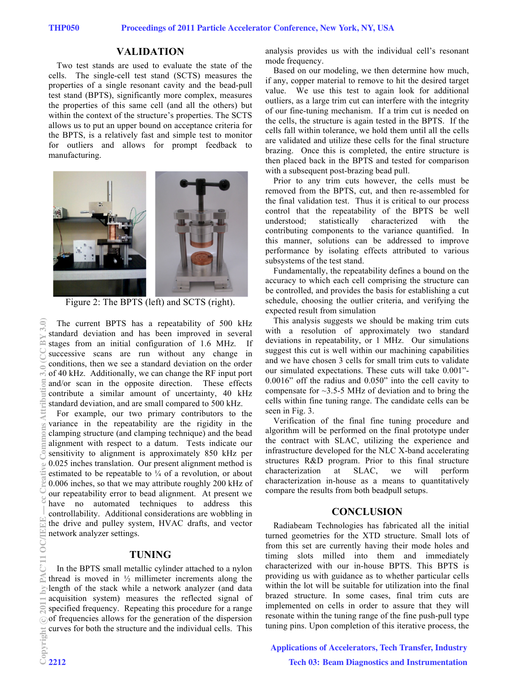## **VALIDATION**

Two test stands are used to evaluate the state of the cells. The single-cell test stand (SCTS) measures the properties of a single resonant cavity and the bead-pull test stand (BPTS), significantly more complex, measures the properties of this same cell (and all the others) but within the context of the structure's properties. The SCTS allows us to put an upper bound on acceptance criteria for the BPTS, is a relatively fast and simple test to monitor for outliers and allows for prompt feedback to manufacturing.



Figure 2: The BPTS (left) and SCTS (right).

The current BPTS has a repeatability of 500 kHz standard deviation and has been improved in several stages from an initial configuration of 1.6 MHz. If successive scans are run without any change in conditions, then we see a standard deviation on the order of 40 kHz. Additionally, we can change the RF input port and/or scan in the opposite direction. These effects contribute a similar amount of uncertainty, 40 kHz standard deviation, and are small compared to 500 kHz.

For example, our two primary contributors to the variance in the repeatability are the rigidity in the clamping structure (and clamping technique) and the bead alignment with respect to a datum. Tests indicate our sensitivity to alignment is approximately 850 kHz per 0.025 inches translation. Our present alignment method is estimated to be repeatable to  $\frac{1}{4}$  of a revolution, or about 0.006 inches, so that we may attribute roughly 200 kHz of our repeatability error to bead alignment. At present we have no automated techniques to address this controllability. Additional considerations are wobbling in the drive and pulley system, HVAC drafts, and vector network analyzer settings.

#### **TUNING**

In the BPTS small metallic cylinder attached to a nylon thread is moved in  $\frac{1}{2}$  millimeter increments along the length of the stack while a network analyzer (and data acquisition system) measures the reflected signal of specified frequency. Repeating this procedure for a range ⊙ of frequencies allows for the generation of the dispersion curves for both the structure and the individual cells. This

analysis provides us with the individual cell's resonant mode frequency.

Based on our modeling, we then determine how much, if any, copper material to remove to hit the desired target value. We use this test to again look for additional outliers, as a large trim cut can interfere with the integrity of our fine-tuning mechanism. If a trim cut is needed on the cells, the structure is again tested in the BPTS. If the cells fall within tolerance, we hold them until all the cells are validated and utilize these cells for the final structure brazing. Once this is completed, the entire structure is then placed back in the BPTS and tested for comparison with a subsequent post-brazing bead pull.

Prior to any trim cuts however, the cells must be removed from the BPTS, cut, and then re-assembled for the final validation test. Thus it is critical to our process control that the repeatability of the BPTS be well understood; statistically characterized with the contributing components to the variance quantified. In this manner, solutions can be addressed to improve performance by isolating effects attributed to various subsystems of the test stand.

Fundamentally, the repeatability defines a bound on the accuracy to which each cell comprising the structure can be controlled, and provides the basis for establishing a cut schedule, choosing the outlier criteria, and verifying the expected result from simulation

This analysis suggests we should be making trim cuts with a resolution of approximately two standard deviations in repeatability, or 1 MHz. Our simulations suggest this cut is well within our machining capabilities and we have chosen 3 cells for small trim cuts to validate our simulated expectations. These cuts will take 0.001"- 0.0016" off the radius and 0.050" into the cell cavity to compensate for  $\sim$ 3.5-5 MHz of deviation and to bring the cells within fine tuning range. The candidate cells can be seen in Fig. 3.

Verification of the final fine tuning procedure and algorithm will be performed on the final prototype under the contract with SLAC, utilizing the experience and infrastructure developed for the NLC X-band accelerating structures R&D program. Prior to this final structure characterization at SLAC, we will perform characterization in-house as a means to quantitatively compare the results from both beadpull setups.

#### **CONCLUSION**

Radiabeam Technologies has fabricated all the initial turned geometries for the XTD structure. Small lots of from this set are currently having their mode holes and timing slots milled into them and immediately characterized with our in-house BPTS. This BPTS is providing us with guidance as to whether particular cells within the lot will be suitable for utilization into the final brazed structure. In some cases, final trim cuts are implemented on cells in order to assure that they will resonate within the tuning range of the fine push-pull type tuning pins. Upon completion of this iterative process, the

#### Applications of Accelerators, Tech Transfer, Industry

Tech 03: Beam Diagnostics and Instrumentation